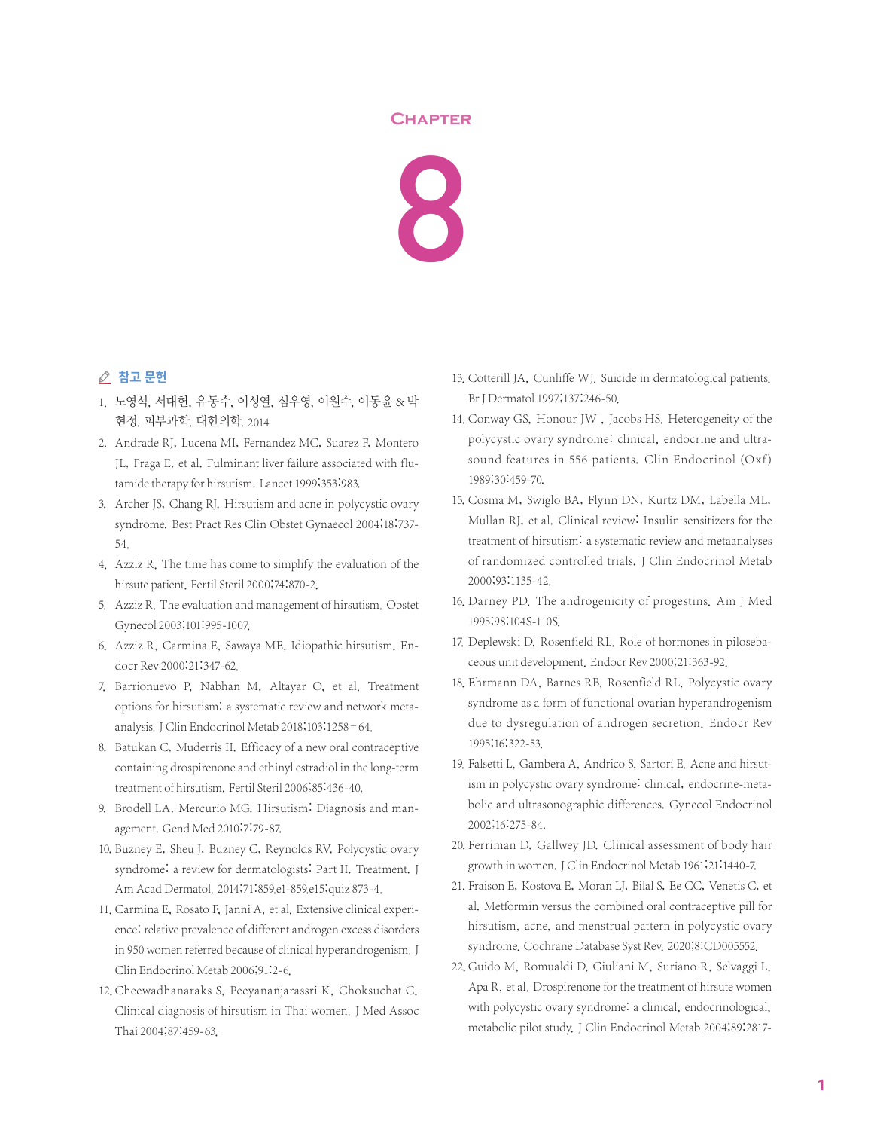## **Chapter**



## △ 참고 문헌

- 1. 노영석, 서대헌, 유동수, 이성열, 심우영, 이원수, 이동윤 & 박 현정. 피부과학. 대한의학. 2014
- 2. Andrade RJ, Lucena MI, Fernandez MC, Suarez F, Montero JL, Fraga E, et al. Fulminant liver failure associated with flutamide therapy for hirsutism. Lancet 1999;353:983.
- 3. Archer JS, Chang RJ. Hirsutism and acne in polycystic ovary syndrome. Best Pract Res Clin Obstet Gynaecol 2004;18:737- 54.
- 4. Azziz R. The time has come to simplify the evaluation of the hirsute patient. Fertil Steril 2000;74:870-2.
- 5. Azziz R. The evaluation and management of hirsutism. Obstet Gynecol 2003;101:995-1007.
- 6. Azziz R, Carmina E, Sawaya ME, Idiopathic hirsutism. Endocr Rev 2000;21:347-62.
- 7. Barrionuevo P, Nabhan M, Altayar O, et al. Treatment options for hirsutism: a systematic review and network metaanalysis.J Clin Endocrinol Metab 2018;103:1258–64.
- 8. Batukan C, Muderris II. Efficacy of a new oral contraceptive containing drospirenone and ethinyl estradiol in the long-term treatment of hirsutism. Fertil Steril 2006;85:436-40.
- 9. Brodell LA, Mercurio MG. Hirsutism: Diagnosis and management. Gend Med 2010;7:79-87.
- 10. Buzney E, Sheu J, Buzney C, Reynolds RV. Polycystic ovary syndrome: a review for dermatologists: Part II. Treatment. J Am Acad Dermatol. 2014;71:859.e1-859.e15;quiz 873-4.
- 11. Carmina E, Rosato F, Janni A, et al. Extensive clinical experience: relative prevalence of different androgen excess disorders in 950 women referred because of clinical hyperandrogenism. J Clin Endocrinol Metab 2006;91:2-6.
- 12. Cheewadhanaraks S, Peeyananjarassri K, Choksuchat C. Clinical diagnosis of hirsutism in Thai women. J Med Assoc Thai 2004;87:459-63.
- 13. Cotterill JA, Cunliffe WJ. Suicide in dermatological patients. Br J Dermatol 1997;137:246-50.
- 14. Conway GS, Honour JW, Jacobs HS. Heterogeneity of the polycystic ovary syndrome: clinical, endocrine and ultrasound features in 556 patients. Clin Endocrinol (Oxf) 1989;30:459-70.
- 15. Cosma M, Swiglo BA, Flynn DN, Kurtz DM, Labella ML, Mullan RJ, et al. Clinical review: Insulin sensitizers for the treatment of hirsutism: a systematic review and metaanalyses of randomized controlled trials. J Clin Endocrinol Metab 2000;93:1135-42.
- 16. Darney PD. The androgenicity of progestins. Am J Med 1995;98:104S-110S.
- 17. Deplewski D, Rosenfield RL. Role of hormones in pilosebaceous unit development. Endocr Rev 2000;21:363-92.
- 18. Ehrmann DA, Barnes RB, Rosenfield RL. Polycystic ovary syndrome as a form of functional ovarian hyperandrogenism due to dysregulation of androgen secretion. Endocr Rev 1995;16:322-53.
- 19. Falsetti L, Gambera A, Andrico S, Sartori E. Acne and hirsutism in polycystic ovary syndrome: clinical, endocrine-metabolic and ultrasonographic differences. Gynecol Endocrinol 2002;16:275-84.
- 20. Ferriman D, Gallwey JD. Clinical assessment of body hair growth in women. J Clin Endocrinol Metab 1961;21:1440-7.
- 21. Fraison E, Kostova E, Moran LJ, Bilal S, Ee CC, Venetis C, et al. Metformin versus the combined oral contraceptive pill for hirsutism, acne, and menstrual pattern in polycystic ovary syndrome. Cochrane Database Syst Rev. 2020;8:CD005552.
- 22. Guido M, Romualdi D, Giuliani M, Suriano R, Selvaggi L, Apa R, et al. Drospirenone for the treatment of hirsute women with polycystic ovary syndrome: a clinical, endocrinological, metabolic pilot study. J Clin Endocrinol Metab 2004;89:2817-